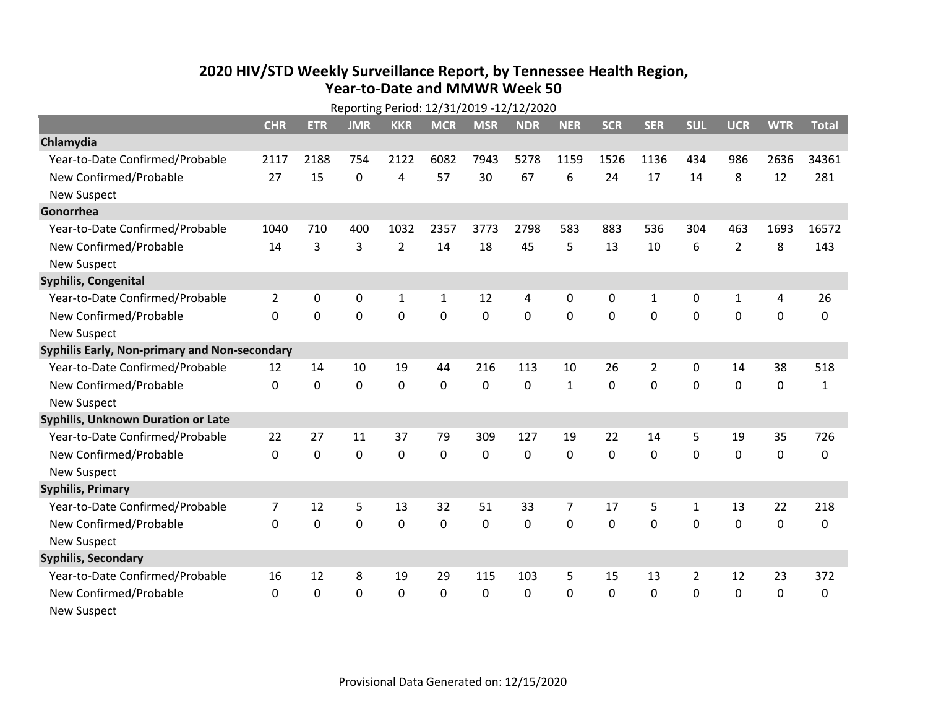## **2020 HIV /STD Weekly Surveillance Report, by Tennessee Health Region, Year‐to‐Date and MMWR Week 50**

| $\sim$ 0.10                                   |                |                |             |                |              |             |                |                |             |                |                |                |             |              |
|-----------------------------------------------|----------------|----------------|-------------|----------------|--------------|-------------|----------------|----------------|-------------|----------------|----------------|----------------|-------------|--------------|
|                                               | <b>CHR</b>     | <b>ETR</b>     | <b>JMR</b>  | <b>KKR</b>     | <b>MCR</b>   | <b>MSR</b>  | <b>NDR</b>     | <b>NER</b>     | <b>SCR</b>  | <b>SER</b>     | <b>SUL</b>     | <b>UCR</b>     | <b>WTR</b>  | <b>Total</b> |
| Chlamydia                                     |                |                |             |                |              |             |                |                |             |                |                |                |             |              |
| Year-to-Date Confirmed/Probable               | 2117           | 2188           | 754         | 2122           | 6082         | 7943        | 5278           | 1159           | 1526        | 1136           | 434            | 986            | 2636        | 34361        |
| New Confirmed/Probable                        | 27             | 15             | $\mathbf 0$ | 4              | 57           | 30          | 67             | 6              | 24          | 17             | 14             | 8              | 12          | 281          |
| <b>New Suspect</b>                            |                |                |             |                |              |             |                |                |             |                |                |                |             |              |
| Gonorrhea                                     |                |                |             |                |              |             |                |                |             |                |                |                |             |              |
| Year-to-Date Confirmed/Probable               | 1040           | 710            | 400         | 1032           | 2357         | 3773        | 2798           | 583            | 883         | 536            | 304            | 463            | 1693        | 16572        |
| New Confirmed/Probable                        | 14             | 3              | 3           | $\overline{2}$ | 14           | 18          | 45             | 5              | 13          | 10             | 6              | $\overline{2}$ | 8           | 143          |
| <b>New Suspect</b>                            |                |                |             |                |              |             |                |                |             |                |                |                |             |              |
| Syphilis, Congenital                          |                |                |             |                |              |             |                |                |             |                |                |                |             |              |
| Year-to-Date Confirmed/Probable               | $\overline{2}$ | 0              | 0           | $\mathbf{1}$   | $\mathbf{1}$ | 12          | 4              | 0              | 0           | $\mathbf{1}$   | 0              | $\mathbf{1}$   | 4           | 26           |
| New Confirmed/Probable                        | $\Omega$       | $\overline{0}$ | $\mathbf 0$ | $\mathbf 0$    | 0            | $\mathbf 0$ | $\overline{0}$ | 0              | $\mathbf 0$ | $\overline{0}$ | $\mathbf 0$    | 0              | $\mathbf 0$ | $\mathbf 0$  |
| <b>New Suspect</b>                            |                |                |             |                |              |             |                |                |             |                |                |                |             |              |
| Syphilis Early, Non-primary and Non-secondary |                |                |             |                |              |             |                |                |             |                |                |                |             |              |
| Year-to-Date Confirmed/Probable               | 12             | 14             | 10          | 19             | 44           | 216         | 113            | 10             | 26          | $\overline{2}$ | 0              | 14             | 38          | 518          |
| New Confirmed/Probable                        | $\Omega$       | 0              | 0           | 0              | 0            | 0           | 0              | $\mathbf{1}$   | $\Omega$    | $\mathbf 0$    | $\mathbf 0$    | 0              | $\mathbf 0$ | $\mathbf{1}$ |
| <b>New Suspect</b>                            |                |                |             |                |              |             |                |                |             |                |                |                |             |              |
| <b>Syphilis, Unknown Duration or Late</b>     |                |                |             |                |              |             |                |                |             |                |                |                |             |              |
| Year-to-Date Confirmed/Probable               | 22             | 27             | 11          | 37             | 79           | 309         | 127            | 19             | 22          | 14             | 5              | 19             | 35          | 726          |
| New Confirmed/Probable                        | $\Omega$       | 0              | 0           | 0              | 0            | 0           | 0              | $\Omega$       | $\Omega$    | $\overline{0}$ | $\overline{0}$ | 0              | $\mathbf 0$ | 0            |
| <b>New Suspect</b>                            |                |                |             |                |              |             |                |                |             |                |                |                |             |              |
| <b>Syphilis, Primary</b>                      |                |                |             |                |              |             |                |                |             |                |                |                |             |              |
| Year-to-Date Confirmed/Probable               | $\overline{7}$ | 12             | 5           | 13             | 32           | 51          | 33             | $\overline{7}$ | 17          | 5              | $\mathbf{1}$   | 13             | 22          | 218          |
| New Confirmed/Probable                        | 0              | 0              | $\mathbf 0$ | $\mathbf 0$    | 0            | $\mathbf 0$ | 0              | 0              | 0           | $\overline{0}$ | $\overline{0}$ | 0              | $\mathbf 0$ | 0            |
| <b>New Suspect</b>                            |                |                |             |                |              |             |                |                |             |                |                |                |             |              |
| <b>Syphilis, Secondary</b>                    |                |                |             |                |              |             |                |                |             |                |                |                |             |              |
| Year-to-Date Confirmed/Probable               | 16             | 12             | 8           | 19             | 29           | 115         | 103            | 5              | 15          | 13             | $\overline{2}$ | 12             | 23          | 372          |
| New Confirmed/Probable                        | $\mathbf{0}$   | 0              | 0           | 0              | 0            | $\mathbf 0$ | 0              | 0              | $\Omega$    | 0              | 0              | 0              | 0           | 0            |
| <b>New Suspect</b>                            |                |                |             |                |              |             |                |                |             |                |                |                |             |              |